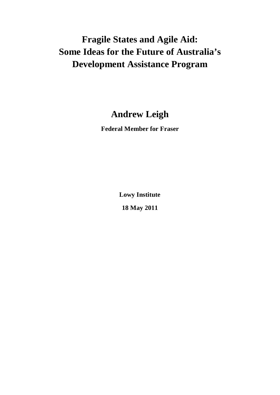# **Fragile States and Agile Aid: Some Ideas for the Future of Australia's Development Assistance Program**

## **Andrew Leigh**

**Federal Member for Fraser**

**Lowy Institute**

**18 May 2011**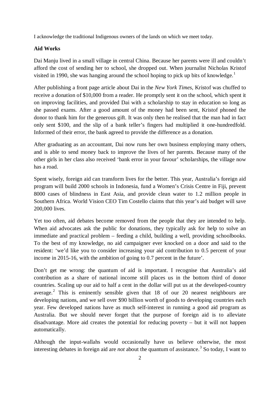I acknowledge the traditional Indigenous owners of the lands on which we meet today.

#### **Aid Works**

Dai Manju lived in a small village in central China. Because her parents were ill and couldn't afford the cost of sending her to school, she dropped out. When journalist Nicholas Kristof visited in [1](#page-9-0)990, she was hanging around the school hoping to pick up bits of knowledge.<sup>1</sup>

After publishing a front page article about Dai in the *New York Times*, Kristof was chuffed to receive a donation of \$10,000 from a reader. He promptly sent it on the school, which spent it on improving facilities, and provided Dai with a scholarship to stay in education so long as she passed exams. After a good amount of the money had been sent, Kristof phoned the donor to thank him for the generous gift. It was only then he realised that the man had in fact only sent \$100, and the slip of a bank teller's fingers had multiplied it one-hundredfold. Informed of their error, the bank agreed to provide the difference as a donation.

After graduating as an accountant, Dai now runs her own business employing many others, and is able to send money back to improve the lives of her parents. Because many of the other girls in her class also received 'bank error in your favour' scholarships, the village now has a road.

Spent wisely, foreign aid can transform lives for the better. This year, Australia's foreign aid program will build 2000 schools in Indonesia, fund a Women's Crisis Centre in Fiji, prevent 8000 cases of blindness in East Asia, and provide clean water to 1.2 million people in Southern Africa. World Vision CEO Tim Costello claims that this year's aid budget will save 200,000 lives.

Yet too often, aid debates become removed from the people that they are intended to help. When aid advocates ask the public for donations, they typically ask for help to solve an immediate and practical problem – feeding a child, building a well, providing schoolbooks. To the best of my knowledge, no aid campaigner ever knocked on a door and said to the resident: 'we'd like you to consider increasing your aid contribution to 0.5 percent of your income in 2015-16, with the ambition of going to 0.7 percent in the future'.

Don't get me wrong: the quantum of aid is important. I recognise that Australia's aid contribution as a share of national income still places us in the bottom third of donor countries. Scaling up our aid to half a cent in the dollar will put us at the developed-country average.<sup>[2](#page-9-1)</sup> This is eminently sensible given that 18 of our 20 nearest neighbours are developing nations, and we sell over \$90 billion worth of goods to developing countries each year. Few developed nations have as much self-interest in running a good aid program as Australia. But we should never forget that the purpose of foreign aid is to alleviate disadvantage. More aid creates the potential for reducing poverty – but it will not happen automatically.

Although the input-wallahs would occasionally have us believe otherwise, the most interesting debates in foreign aid are *not* about the quantum of assistance.<sup>[3](#page-9-2)</sup> So today, I want to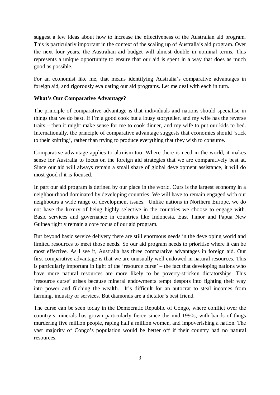suggest a few ideas about how to increase the effectiveness of the Australian aid program. This is particularly important in the context of the scaling up of Australia's aid program. Over the next four years, the Australian aid budget will almost double in nominal terms. This represents a unique opportunity to ensure that our aid is spent in a way that does as much good as possible.

For an economist like me, that means identifying Australia's comparative advantages in foreign aid, and rigorously evaluating our aid programs. Let me deal with each in turn.

#### **What's Our Comparative Advantage?**

The principle of comparative advantage is that individuals and nations should specialise in things that we do best. If I'm a good cook but a lousy storyteller, and my wife has the reverse traits – then it might make sense for me to cook dinner, and my wife to put our kids to bed. Internationally, the principle of comparative advantage suggests that economies should 'stick to their knitting', rather than trying to produce everything that they wish to consume.

Comparative advantage applies to altruism too. Where there is need in the world, it makes sense for Australia to focus on the foreign aid strategies that we are comparatively best at. Since our aid will always remain a small share of global development assistance, it will do most good if it is focused.

In part our aid program is defined by our place in the world. Ours is the largest economy in a neighbourhood dominated by developing countries. We will have to remain engaged with our neighbours a wide range of development issues. Unlike nations in Northern Europe, we do not have the luxury of being highly selective in the countries we choose to engage with. Basic services and governance in countries like Indonesia, East Timor and Papua New Guinea rightly remain a core focus of our aid program.

But beyond basic service delivery there are still enormous needs in the developing world and limited resources to meet those needs. So our aid program needs to prioritise where it can be most effective. As I see it, Australia has three comparative advantages in foreign aid. Our first comparative advantage is that we are unusually well endowed in natural resources. This is particularly important in light of the 'resource curse' – the fact that developing nations who have more natural resources are more likely to be poverty-stricken dictatorships. This 'resource curse' arises because mineral endowments tempt despots into fighting their way into power and filching the wealth. It's difficult for an autocrat to steal incomes from farming, industry or services. But diamonds are a dictator's best friend.

The curse can be seen today in the Democratic Republic of Congo, where conflict over the country's minerals has grown particularly fierce since the mid-1990s, with bands of thugs murdering five million people, raping half a million women, and impoverishing a nation. The vast majority of Congo's population would be better off if their country had no natural resources.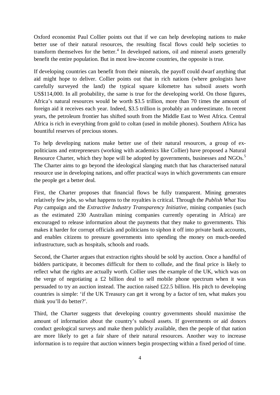Oxford economist Paul Collier points out that if we can help developing nations to make better use of their natural resources, the resulting fiscal flows could help societies to transform themselves for the better.<sup>[4](#page-9-3)</sup> In developed nations, oil and mineral assets generally benefit the entire population. But in most low-income countries, the opposite is true.

If developing countries can benefit from their minerals, the payoff could dwarf anything that aid might hope to deliver. Collier points out that in rich nations (where geologists have carefully surveyed the land) the typical square kilometre has subsoil assets worth US\$114,000. In all probability, the same is true for the developing world. On those figures, Africa's natural resources would be worth \$3.5 trillion, more than 70 times the amount of foreign aid it receives each year. Indeed, \$3.5 trillion is probably an underestimate. In recent years, the petroleum frontier has shifted south from the Middle East to West Africa. Central Africa is rich in everything from gold to coltan (used in mobile phones). Southern Africa has bountiful reserves of precious stones.

To help developing nations make better use of their natural resources, a group of expoliticians and entrepreneurs (working with academics like Collier) have proposed a Natural Resource Charter, which they hope will be adopted by governments, businesses and NGOs.<sup>[5](#page-9-4)</sup> The Charter aims to go beyond the ideological slanging match that has characterised natural resource use in developing nations, and offer practical ways in which governments can ensure the people get a better deal.

First, the Charter proposes that financial flows be fully transparent. Mining generates relatively few jobs, so what happens to the royalties is critical. Through the *Publish What You Pay* campaign and the *Extractive Industry Transparency Initiative*, mining companies (such as the estimated 230 Australian mining companies currently operating in Africa) are encouraged to release information about the payments that they make to governments. This makes it harder for corrupt officials and politicians to siphon it off into private bank accounts, and enables citizens to pressure governments into spending the money on much-needed infrastructure, such as hospitals, schools and roads.

Second, the Charter argues that extraction rights should be sold by auction. Once a handful of bidders participate, it becomes difficult for them to collude, and the final price is likely to reflect what the rights are actually worth. Collier uses the example of the UK, which was on the verge of negotiating a £2 billion deal to sell mobile phone spectrum when it was persuaded to try an auction instead. The auction raised £22.5 billion. His pitch to developing countries is simple: 'if the UK Treasury can get it wrong by a factor of ten, what makes you think you'll do better?'.

Third, the Charter suggests that developing country governments should maximise the amount of information about the country's subsoil assets. If governments or aid donors conduct geological surveys and make them publicly available, then the people of that nation are more likely to get a fair share of their natural resources. Another way to increase information is to require that auction winners begin prospecting within a fixed period of time.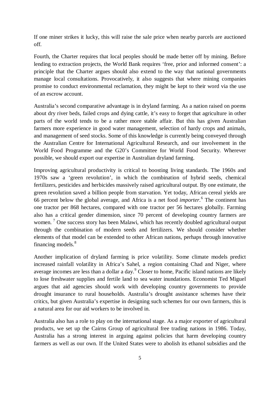If one miner strikes it lucky, this will raise the sale price when nearby parcels are auctioned off.

Fourth, the Charter requires that local peoples should be made better off by mining. Before lending to extraction projects, the World Bank requires 'free, prior and informed consent': a principle that the Charter argues should also extend to the way that national governments manage local consultations. Provocatively, it also suggests that where mining companies promise to conduct environmental reclamation, they might be kept to their word via the use of an escrow account.

Australia's second comparative advantage is in dryland farming. As a nation raised on poems about dry river beds, failed crops and dying cattle, it's easy to forget that agriculture in other parts of the world tends to be a rather more stable affair. But this has given Australian farmers more experience in good water management, selection of hardy crops and animals, and management of seed stocks. Some of this knowledge is currently being conveyed through the Australian Centre for International Agricultural Research, and our involvement in the World Food Programme and the G20's Committee for World Food Security. Wherever possible, we should export our expertise in Australian dryland farming.

Improving agricultural productivity is critical to boosting living standards. The 1960s and 1970s saw a 'green revolution', in which the combination of hybrid seeds, chemical fertilizers, pesticides and herbicides massively raised agricultural output. By one estimate, the green revolution saved a billion people from starvation. Yet today, African cereal yields are 66 percent below the global average, and Africa is a net food *importer*. [6](#page-9-5) The continent has one tractor per 868 hectares, compared with one tractor per 56 hectares globally. Farming also has a critical gender dimension, since 70 percent of developing country farmers are women.<sup>[7](#page-9-6)</sup> One success story has been Malawi, which has recently doubled agricultural output through the combination of modern seeds and fertilizers. We should consider whether elements of that model can be extended to other African nations, perhaps through innovative financing models.<sup>[8](#page-9-7)</sup>

Another implication of dryland farming is price volatility. Some climate models predict increased rainfall volatility in Africa's Sahel, a region containing Chad and Niger, where average incomes are less than a dollar a day.[9](#page-9-8) Closer to home, Pacific island nations are likely to lose freshwater supplies and fertile land to sea water inundations. Economist Ted Miguel argues that aid agencies should work with developing country governments to provide drought insurance to rural households. Australia's drought assistance schemes have their critics, but given Australia's expertise in designing such schemes for our own farmers, this is a natural area for our aid workers to be involved in.

Australia also has a role to play on the international stage. As a major exporter of agricultural products, we set up the Cairns Group of agricultural free trading nations in 1986. Today, Australia has a strong interest in arguing against policies that harm developing country farmers as well as our own. If the United States were to abolish its ethanol subsidies and the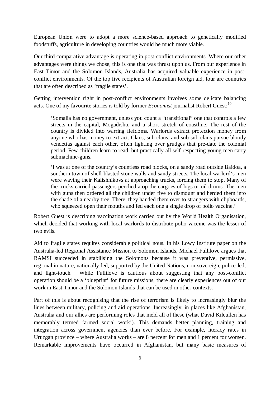European Union were to adopt a more science-based approach to genetically modified foodstuffs, agriculture in developing countries would be much more viable.

Our third comparative advantage is operating in post-conflict environments. Where our other advantages were things we chose, this is one that was thrust upon us. From our experience in East Timor and the Solomon Islands, Australia has acquired valuable experience in postconflict environments. Of the top five recipients of Australian foreign aid, four are countries that are often described as 'fragile states'.

Getting intervention right in post-conflict environments involves some delicate balancing acts. One of my favourite stories is told by former *Economist* journalist Robert Guest:<sup>[10](#page-9-9)</sup>

'Somalia has no government, unless you count a "transitional" one that controls a few streets in the capital, Mogadishu, and a short stretch of coastline. The rest of the country is divided into warring fiefdoms. Warlords extract protection money from anyone who has money to extract. Clans, sub-clans, and sub-sub-clans pursue bloody vendettas against each other, often fighting over grudges that pre-date the colonial period. Few children learn to read, but practically all self-respecting young men carry submachine-guns.

'I was at one of the country's countless road blocks, on a sandy road outside Baidoa, a southern town of shell-blasted stone walls and sandy streets. The local warlord's men were waving their Kalishnikovs at approaching trucks, forcing them to stop. Many of the trucks carried passengers perched atop the cargoes of logs or oil drums. The men with guns then ordered all the children under five to dismount and herded them into the shade of a nearby tree. There, they handed them over to strangers with clipboards, who squeezed open their mouths and fed each one a single drop of polio vaccine.'

Robert Guest is describing vaccination work carried out by the World Health Organisation, which decided that working with local warlords to distribute polio vaccine was the lesser of two evils.

Aid to fragile states requires considerable political nous. In his Lowy Institute paper on the Australia-led Regional Assistance Mission to Solomon Islands, Michael Fullilove argues that RAMSI succeeded in stabilising the Solomons because it was preventive, permissive, regional in nature, nationally-led, supported by the United Nations, non-sovereign, police-led, and light-touch.<sup>[11](#page-9-10)</sup> While Fullilove is cautious about suggesting that any post-conflict operation should be a 'blueprint' for future missions, there are clearly experiences out of our work in East Timor and the Solomon Islands that can be used in other contexts.

Part of this is about recognising that the rise of terrorism is likely to increasingly blur the lines between military, policing and aid operations. Increasingly, in places like Afghanistan, Australia and our allies are performing roles that meld all of these (what David Kilcullen has memorably termed 'armed social work'). This demands better planning, training and integration across government agencies than ever before. For example, literacy rates in Uruzgan province – where Australia works – are 8 percent for men and 1 percent for women. Remarkable improvements have occurred in Afghanistan, but many basic measures of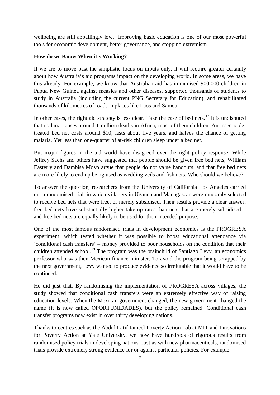wellbeing are still appallingly low. Improving basic education is one of our most powerful tools for economic development, better governance, and stopping extremism.

#### **How do we Know When it's Working?**

If we are to move past the simplistic focus on inputs only, it will require greater certainty about how Australia's aid programs impact on the developing world. In some areas, we have this already. For example, we know that Australian aid has immunised 900,000 children in Papua New Guinea against measles and other diseases, supported thousands of students to study in Australia (including the current PNG Secretary for Education), and rehabilitated thousands of kilometres of roads in places like Laos and Samoa.

In other cases, the right aid strategy is less clear. Take the case of bed nets.<sup>[12](#page-9-11)</sup> It is undisputed that malaria causes around 1 million deaths in Africa, most of them children. An insecticidetreated bed net costs around \$10, lasts about five years, and halves the chance of getting malaria. Yet less than one-quarter of at-risk children sleep under a bed net.

But major figures in the aid world have disagreed over the right policy response. While Jeffrey Sachs and others have suggested that people should be given free bed nets, William Easterly and Dambisa Moyo argue that people do not value handouts, and that free bed nets are more likely to end up being used as wedding veils and fish nets. Who should we believe?

To answer the question, researchers from the University of California Los Angeles carried out a randomised trial, in which villagers in Uganda and Madagascar were randomly selected to receive bed nets that were free, or merely subsidised. Their results provide a clear answer: free bed nets have substantially higher take-up rates than nets that are merely subsidised – and free bed nets are equally likely to be used for their intended purpose.

One of the most famous randomised trials in development economics is the PROGRESA experiment, which tested whether it was possible to boost educational attendance via 'conditional cash transfers' – money provided to poor households on the condition that their children attended school.<sup>[13](#page-9-12)</sup> The program was the brainchild of Santiago Levy, an economics professor who was then Mexican finance minister. To avoid the program being scrapped by the next government, Levy wanted to produce evidence so irrefutable that it would have to be continued.

He did just that. By randomising the implementation of PROGRESA across villages, the study showed that conditional cash transfers were an extremely effective way of raising education levels. When the Mexican government changed, the new government changed the name (it is now called OPORTUNIDADES), but the policy remained. Conditional cash transfer programs now exist in over thirty developing nations.

Thanks to centres such as the Abdul Latif Jameel Poverty Action Lab at MIT and Innovations for Poverty Action at Yale University, we now have hundreds of rigorous results from randomised policy trials in developing nations. Just as with new pharmaceuticals, randomised trials provide extremely strong evidence for or against particular policies. For example: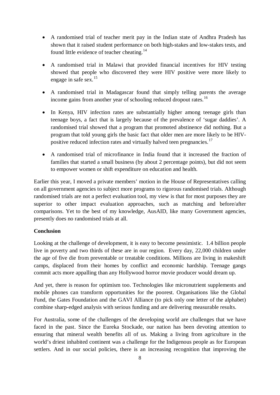- A randomised trial of teacher merit pay in the Indian state of Andhra Pradesh has shown that it raised student performance on both high-stakes and low-stakes tests, and found little evidence of teacher cheating.<sup>[14](#page-10-0)</sup>
- A randomised trial in Malawi that provided financial incentives for HIV testing showed that people who discovered they were HIV positive were more likely to engage in safe sex.<sup>[15](#page-10-1)</sup>
- A randomised trial in Madagascar found that simply telling parents the average income gains from another year of schooling reduced dropout rates.<sup>[16](#page-10-2)</sup>
- In Kenya, HIV infection rates are substantially higher among teenage girls than teenage boys, a fact that is largely because of the prevalence of 'sugar daddies'. A randomised trial showed that a program that promoted abstinence did nothing. But a program that told young girls the basic fact that older men are more likely to be HIV-positive reduced infection rates and virtually halved teen pregnancies.<sup>[17](#page-10-3)</sup>
- A randomised trial of microfinance in India found that it increased the fraction of families that started a small business (by about 2 percentage points), but did not seem to empower women or shift expenditure on education and health.

Earlier this year, I moved a private members' motion in the House of Representatives calling on all government agencies to subject more programs to rigorous randomised trials. Although randomised trials are not a perfect evaluation tool, my view is that for most purposes they are superior to other impact evaluation approaches, such as matching and before/after comparisons. Yet to the best of my knowledge, AusAID, like many Government agencies, presently does no randomised trials at all.

### **Conclusion**

Looking at the challenge of development, it is easy to become pessimistic. 1.4 billion people live in poverty and two thirds of these are in our region. Every day, 22,000 children under the age of five die from preventable or treatable conditions. Millions are living in makeshift camps, displaced from their homes by conflict and economic hardship. Teenage gangs commit acts more appalling than any Hollywood horror movie producer would dream up.

And yet, there is reason for optimism too. Technologies like micronutrient supplements and mobile phones can transform opportunities for the poorest. Organisations like the Global Fund, the Gates Foundation and the GAVI Alliance (to pick only one letter of the alphabet) combine sharp-edged analysis with serious funding and are delivering measurable results.

For Australia, some of the challenges of the developing world are challenges that we have faced in the past. Since the Eureka Stockade, our nation has been devoting attention to ensuring that mineral wealth benefits all of us. Making a living from agriculture in the world's driest inhabited continent was a challenge for the Indigenous people as for European settlers. And in our social policies, there is an increasing recognition that improving the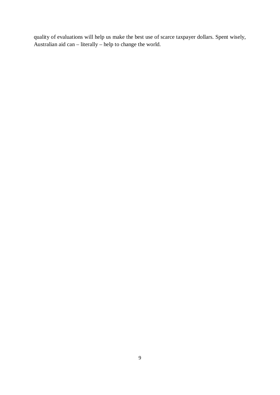quality of evaluations will help us make the best use of scarce taxpayer dollars. Spent wisely, Australian aid can – literally – help to change the world.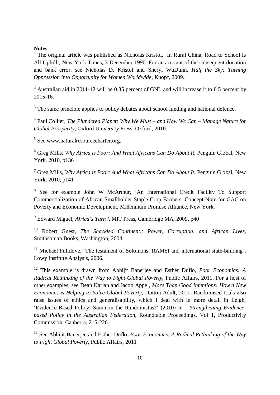#### **Notes**

<span id="page-9-0"></span> $1$  The original article was published as Nicholas Kristof, 'In Rural China, Road to School Is All Uphill', New York Times, 3 December 1990. For an account of the subsequent donation and bank error, see Nicholas D. Kristof and Sheryl WuDunn, *Half the Sky: Turning Oppression into Opportunity for Women Worldwide*, Knopf, 2009.

<span id="page-9-1"></span><sup>2</sup> Australian aid in 2011-12 will be 0.35 percent of GNI, and will increase it to 0.5 percent by 2015-16.

<span id="page-9-2"></span><sup>3</sup> The same principle applies to policy debates about school funding and national defence.

<span id="page-9-3"></span><sup>4</sup> Paul Collier, *The Plundered Planet: Why We Must – and How We Can – Manage Nature for Global Prosperity*, Oxford University Press, Oxford, 2010.

<span id="page-9-4"></span><sup>5</sup> See www.naturalresourcecharter.org.

<span id="page-9-5"></span><sup>6</sup> Greg Mills, *Why Africa is Poor: And What Africans Can Do About It*, Penguin Global, New York, 2010, p136

<span id="page-9-6"></span><sup>7</sup> Greg Mills, *Why Africa is Poor: And What Africans Can Do About It*, Penguin Global, New York, 2010, p141

<span id="page-9-7"></span><sup>8</sup> See for example John W McArthur, 'An International Credit Facility To Support Commercialization of African Smallholder Staple Crop Farmers, Concept Note for GAC on Poverty and Economic Development, Millennium Promise Alliance, New York.

<span id="page-9-8"></span><sup>9</sup> Edward Miguel, *Africa's Turn?,* MIT Press, Cambridge MA, 2009, p40

<span id="page-9-9"></span><sup>10</sup> Robert Guest, *The Shackled Continent*.*: Power, Corruption, and African Lives*, Smithsonian Books, Washington, 2004.

<span id="page-9-10"></span> $11$  Michael Fullilove, 'The testament of Solomons: RAMSI and international state-building'. Lowy Institute Analysis, 2006.

<span id="page-9-11"></span><sup>12</sup> This example is drawn from Abhijit Banerjee and Esther Duflo, *Poor Economics: A Radical Rethinking of the Way to Fight Global Poverty*, Public Affairs, 2011. For a host of other examples, see Dean Karlan and Jacob Appel, *More Than Good Intentions: How a New Economics is Helping to Solve Global Poverty*, Dutton Adult, 2011. Randomised trials also raise issues of ethics and generalisability, which I deal with in more detail in Leigh, 'Evidence-Based Policy: Summon the Randomistas?' (2010) in *Strengthening Evidencebased Policy in the Australian Federation*, Roundtable Proceedings, Vol 1, Productivity Commission, Canberra, 215-226

<span id="page-9-12"></span><sup>13</sup> See Abhijit Banerjee and Esther Duflo, *Poor Economics: A Radical Rethinking of the Way to Fight Global Poverty*, Public Affairs, 2011